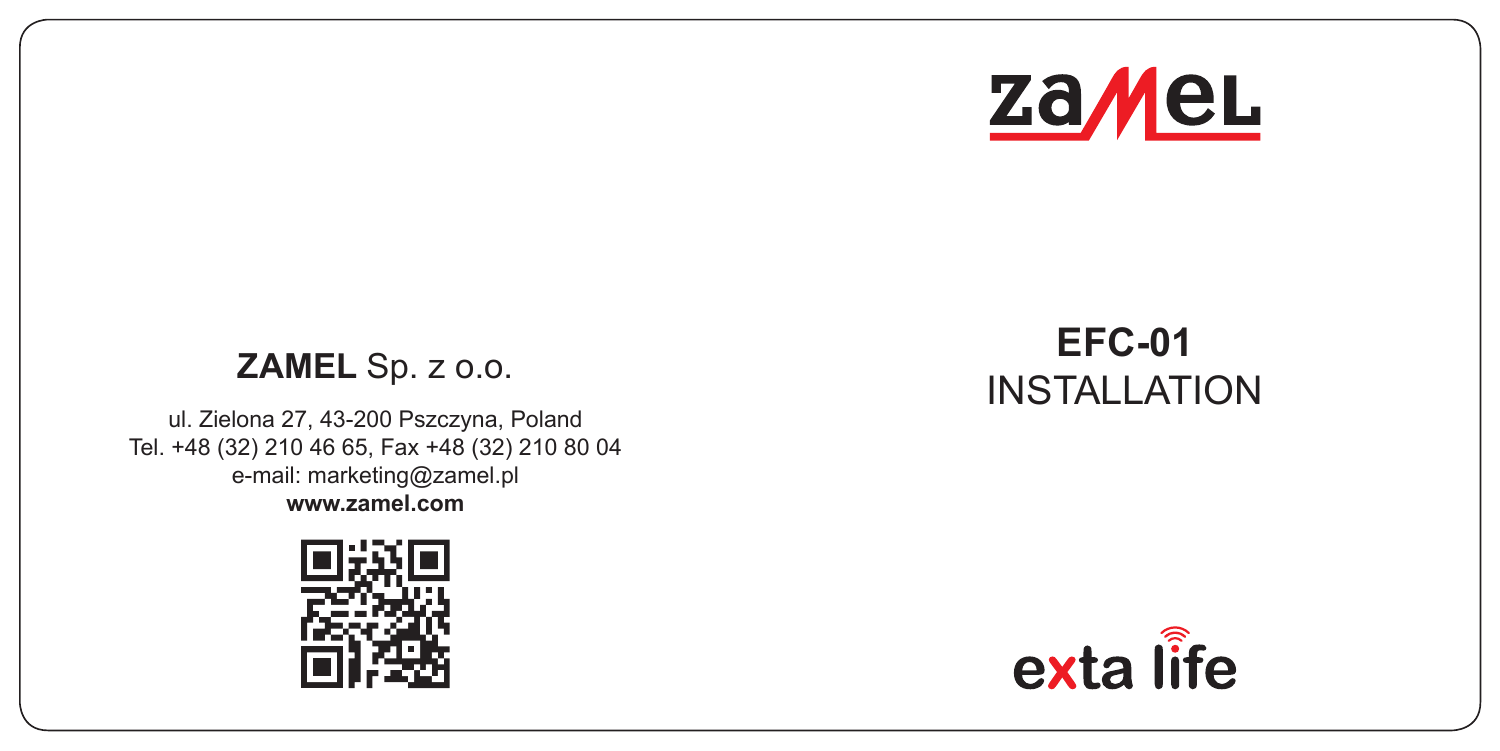

ul. Zielona 27, 43-200 Pszczyna, Poland Tel. +48 (32) 210 46 65, Fax +48 (32) 210 80 04 e-mail: marketing@zamel.pl **www.zamel.com**



## **ZAMEL** Sp. z o.o. **EFC-01**  INSTALL ATION